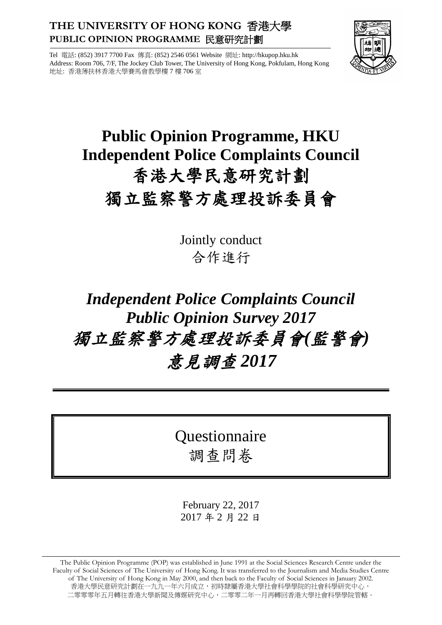# **THE UNIVERSITY OF HONG KONG** 香港大學 **PUBLIC OPINION PROGRAMME** 民意研究計劃



Tel 電話: (852) 3917 7700 Fax 傳真: (852) 2546 0561 Website 網址: http://hkupop.hku.hk Address: Room 706, 7/F, The Jockey Club Tower, The University of Hong Kong, Pokfulam, Hong Kong 地址: 香港薄扶林香港大學賽馬會教學樓 7 樓 706 室

# **Public Opinion Programme, HKU Independent Police Complaints Council** 香港大學民意研究計劃 獨立監察警方處理投訴委員會

Jointly conduct 合作進行

# *Independent Police Complaints Council Public Opinion Survey 2017* 獨立監察警方處理投訴委員會*(*監警會*)* 意見調查 *2017*

Questionnaire 調查問卷

February 22, 2017 2017 年 2 月 22 日

The Public Opinion Programme (POP) was established in June 1991 at the Social Sciences Research Centre under the Faculty of Social Sciences of The University of Hong Kong. It was transferred to the Journalism and Media Studies Centre of The University of Hong Kong in May 2000, and then back to the Faculty of Social Sciences in January 2002. 香港大學民意研究計劃在一九九一年六月成立,初時隸屬香港大學社會科學學院的社會科學研究中心, 二零零零年五月轉往香港大學新聞及傳媒研究中心,二零零二年一月再轉回香港大學社會科學學院管轄。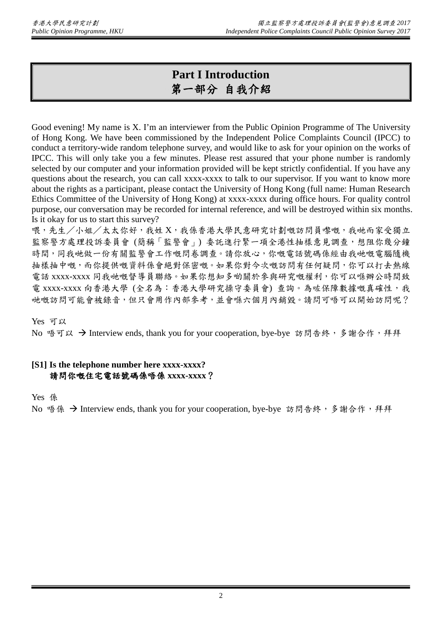# **Part I Introduction** 第一部分 自我介紹

Good evening! My name is X. I'm an interviewer from the Public Opinion Programme of The University of Hong Kong. We have been commissioned by the Independent Police Complaints Council (IPCC) to conduct a territory-wide random telephone survey, and would like to ask for your opinion on the works of IPCC. This will only take you a few minutes. Please rest assured that your phone number is randomly selected by our computer and your information provided will be kept strictly confidential. If you have any questions about the research, you can call xxxx-xxxx to talk to our supervisor. If you want to know more about the rights as a participant, please contact the University of Hong Kong (full name: Human Research Ethics Committee of the University of Hong Kong) at xxxx-xxxx during office hours. For quality control purpose, our conversation may be recorded for internal reference, and will be destroyed within six months. Is it okay for us to start this survey?

喂,先生/小姐/太太你好,我姓 X,我係香港大學民意研究計劃嘅訪問員嚟嘅,我哋而家受獨立 監察警方處理投訴委員會(簡稱「監警會」)委託進行緊一項全港性抽樣意見調查,想阻你幾分鐘 時間,同我哋做一份有關監警會工作嘅問卷調查。請你放心,你嘅電話號碼係經由我哋嘅電腦隨機 抽樣抽中嘅,而你提供嘅資料係會絕對保密嘅。如果你對今次嘅訪問有任何疑問,你可以打去熱線 電話 xxxx-xxxx 同我哋嘅督導員聯絡。如果你想知多啲關於參與研究嘅權利,你可以喺辦公時間致 電 xxxx-xxxx 向香港大學 (全名為:香港大學研究操守委員會) 查詢。為咗保障數據嘅真確性,我 哋嘅訪問可能會被錄音,但只會用作內部參考,並會喺六個月內銷毀。請問可唔可以開始訪問呢?

## Yes 可以

No 唔可以 → Interview ends, thank you for your cooperation, bye-bye 訪問告終,多謝合作,拜拜

## **[S1] Is the telephone number here xxxx-xxxx?** 請問你嘅住宅電話號碼係唔係 **xxxx-xxxx**?

Yes 係

No 唔係 → Interview ends, thank you for your cooperation, bye-bye 訪問告終, 多謝合作, 拜拜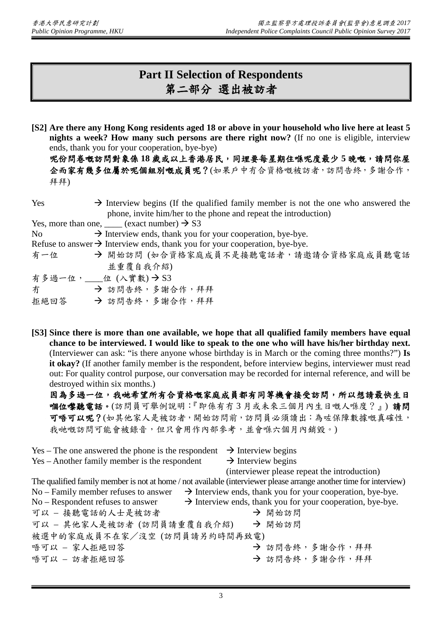# **Part II Selection of Respondents** 第二部分 選出被訪者

**[S2] Are there any Hong Kong residents aged 18 or above in your household who live here at least 5 nights a week? How many such persons are there right now?** (If no one is eligible, interview ends, thank you for your cooperation, bye-bye)

呢份問卷嘅訪問對象係 **18** 歲或以上香港居民,同埋要每星期住喺呢度最少 **5** 晚嘅,請問你屋 企而家有幾多位屬於呢個組別嘅成員呢?(如果戶中冇合資格嘅被訪者,訪問告終,多謝合作, 拜拜)

| Yes                                                                                                            | $\rightarrow$ Interview begins (If the qualified family member is not the one who answered the |
|----------------------------------------------------------------------------------------------------------------|------------------------------------------------------------------------------------------------|
|                                                                                                                | phone, invite him/her to the phone and repeat the introduction)                                |
|                                                                                                                | Yes, more than one, $\_\_\_\$ (exact number) $\rightarrow$ S3                                  |
| No results and the New York of the New York of the New York of the New York of the New York of the New York of | $\rightarrow$ Interview ends, thank you for your cooperation, bye-bye.                         |
|                                                                                                                | Refuse to answer $\rightarrow$ Interview ends, thank you for your cooperation, bye-bye.        |
| 有一位                                                                                                            | → 開始訪問 (如合資格家庭成員不是接聽電話者,請邀請合資格家庭成員聽電話                                                          |
|                                                                                                                | 並重覆自我介紹)                                                                                       |
|                                                                                                                | 有多過一位, ___位 (入實數)→S3                                                                           |
| 冇                                                                                                              | → 訪問告終,多謝合作,拜拜                                                                                 |
| 拒絕回答                                                                                                           | → 訪問告終,多謝合作,拜拜                                                                                 |

**[S3] Since there is more than one available, we hope that all qualified family members have equal chance to be interviewed. I would like to speak to the one who will have his/her birthday next.** (Interviewer can ask: "is there anyone whose birthday is in March or the coming three months?") **Is**  it okay? (If another family member is the respondent, before interview begins, interviewer must read out: For quality control purpose, our conversation may be recorded for internal reference, and will be destroyed within six months.)

因為多過一位,我哋希望所有合資格嘅家庭成員都有同等機會接受訪問,所以想請最快生日 嗰位嚟聽電話。(訪問員可舉例說明:『即係有冇 3 月或未來三個月內生日嘅人喺度?』) 請問 可唔可以呢?(如其他家人是被訪者,開始訪問前,訪問員必須讀出:為咗保障數據嘅真確性, 我哋嘅訪問可能會被錄音,但只會用作內部參考,並會喺六個月內銷毀。)

Yes – The one answered the phone is the respondent  $\rightarrow$  Interview begins Yes – Another family member is the respondent  $\rightarrow$  Interview begins (interviewer please repeat the introduction) The qualified family member is not at home / not available (interviewer please arrange another time for interview) No – Family member refuses to answer  $\rightarrow$  Interview ends, thank you for your cooperation, bye-bye. No – Respondent refuses to answer  $\rightarrow$  Interview ends, thank you for your cooperation, bye-bye. 可以 – 接聽電話的人士是被訪者 開始訪問 可以 - 其他家人是被訪者 (訪問員請重覆自我介紹)→ 開始訪問 被選中的家庭成員不在家/沒空 (訪問員請另約時間再致電) 唔可以 – 家人拒絕回答 → お問告終,多謝合作,拜拜 唔可以 – 訪者拒絕回答 → カラン → 訪問告終,多謝合作,拜拜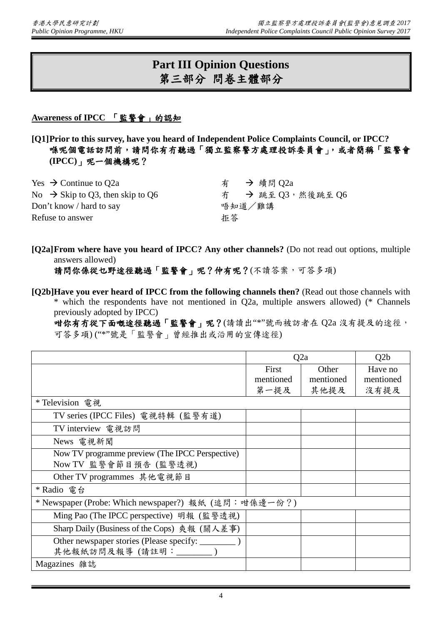# **Part III Opinion Questions** 第三部分 問卷主體部分

## **Awareness of IPCC** 「監警會」的認知

**[Q1]Prior to this survey, have you heard of Independent Police Complaints Council, or IPCC?** 喺呢個電話訪問前,請問你有冇聽過「獨立監察警方處理投訴委員會」,或者簡稱「監警會 **(IPCC)**」呢一個機構呢?

| Yes $\rightarrow$ Continue to O2a            | 有 → 續問 Q2a         |
|----------------------------------------------|--------------------|
| No $\rightarrow$ Skip to Q3, then skip to Q6 | 冇 → 跳至 Q3, 然後跳至 Q6 |
| Don't know / hard to say                     | 唔知道/難講             |
| Refuse to answer                             | 拒答                 |
|                                              |                    |

**[Q2a]From where have you heard of IPCC? Any other channels?** (Do not read out options, multiple answers allowed)

請問你係從乜野途徑聽過「監警會」呢?仲有呢?(不讀答案,可答多項)

**[Q2b]Have you ever heard of IPCC from the following channels then?** (Read out those channels with \* which the respondents have not mentioned in Q2a, multiple answers allowed) (\* Channels previously adopted by IPCC)

咁你有冇從下面嘅途徑聽過「監警會」呢?(請讀出"\*"號而被訪者在 Q2a 沒有提及的途徑, 可答多項) ("\*"號是「監警會」曾經推出或沿用的宣傳途徑)

|                                                       | Q2a       |           | Q2b       |
|-------------------------------------------------------|-----------|-----------|-----------|
|                                                       | First     | Other     | Have no   |
|                                                       | mentioned | mentioned | mentioned |
|                                                       | 第一提及      | 其他提及      | 沒有提及      |
| * Television 電視                                       |           |           |           |
| TV series (IPCC Files) 電視特輯 (監警有道)                    |           |           |           |
| TV interview 電視訪問                                     |           |           |           |
| News 電視新聞                                             |           |           |           |
| Now TV programme preview (The IPCC Perspective)       |           |           |           |
| Now TV 監警會節目預告 (監警透視)                                 |           |           |           |
| Other TV programmes 其他電視節目                            |           |           |           |
| * Radio 電台                                            |           |           |           |
| * Newspaper (Probe: Which newspaper?) 報紙 (追問: 咁係邊一份?) |           |           |           |
| Ming Pao (The IPCC perspective) 明報 (監警透視)             |           |           |           |
| Sharp Daily (Business of the Cops) 爽報 (關人差事)          |           |           |           |
| Other newspaper stories (Please specify: ______       |           |           |           |
| 其他報紙訪問及報導(請註明: _______)                               |           |           |           |
| Magazines 雜誌                                          |           |           |           |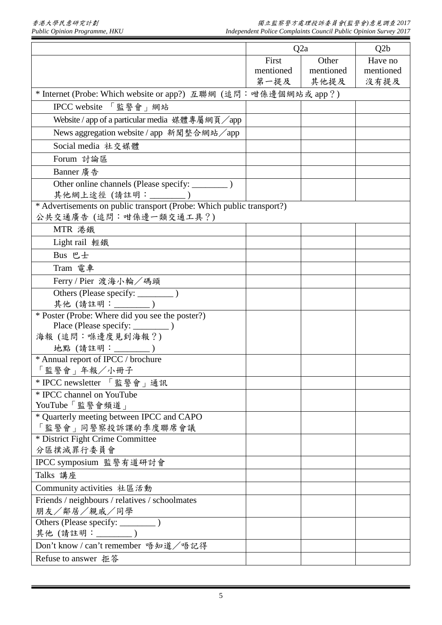|                                                                       |           | Q2a       | Q2b       |
|-----------------------------------------------------------------------|-----------|-----------|-----------|
|                                                                       | First     | Other     | Have no   |
|                                                                       | mentioned | mentioned | mentioned |
|                                                                       | 第一提及      | 其他提及      | 沒有提及      |
| * Internet (Probe: Which website or app?) 互聯網 (追問: 咁係邊個網站或 app?)      |           |           |           |
| IPCC website 「監警會」網站                                                  |           |           |           |
| Website / app of a particular media 媒體專屬網頁/app                        |           |           |           |
| News aggregation website / app 新聞整合網站/app                             |           |           |           |
| Social media 社交媒體                                                     |           |           |           |
| Forum 討論區                                                             |           |           |           |
| Banner 廣告                                                             |           |           |           |
| 其他網上途徑(請註明: ________)                                                 |           |           |           |
| * Advertisements on public transport (Probe: Which public transport?) |           |           |           |
| 公共交通廣告 (追問:咁係邊一類交通工具?)                                                |           |           |           |
| MTR 港鐵                                                                |           |           |           |
| Light rail 輕鐵                                                         |           |           |           |
| Bus 巴士                                                                |           |           |           |
| Tram 電車                                                               |           |           |           |
| Ferry / Pier 渡海小輪/碼頭                                                  |           |           |           |
|                                                                       |           |           |           |
| 其他 (請註明: _______)                                                     |           |           |           |
| * Poster (Probe: Where did you see the poster?)                       |           |           |           |
|                                                                       |           |           |           |
| 海報(追問:喺邊度見到海報?)                                                       |           |           |           |
| 地點 (請註明:________)                                                     |           |           |           |
| * Annual report of IPCC / brochure                                    |           |           |           |
| 「監警會」年報/小冊子                                                           |           |           |           |
| * IPCC newsletter 「監警會」通訊                                             |           |           |           |
| * IPCC channel on YouTube                                             |           |           |           |
| YouTube「監警會頻道」                                                        |           |           |           |
| * Quarterly meeting between IPCC and CAPO<br>「監警會」同警察投訴課的季度聯席會議       |           |           |           |
| * District Fight Crime Committee                                      |           |           |           |
| 分區撲滅罪行委員會                                                             |           |           |           |
| IPCC symposium 監警有道研討會                                                |           |           |           |
| Talks 講座                                                              |           |           |           |
| Community activities 社區活動                                             |           |           |           |
| Friends / neighbours / relatives / schoolmates                        |           |           |           |
| 朋友/鄰居/親戚/同學                                                           |           |           |           |
|                                                                       |           |           |           |
| 其他(請註明: ________)                                                     |           |           |           |
| Don't know / can't remember 唔知道/唔記得                                   |           |           |           |
| Refuse to answer 拒答                                                   |           |           |           |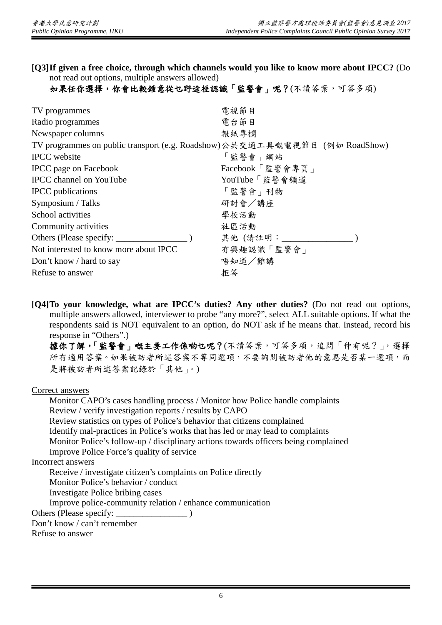**[Q3]If given a free choice, through which channels would you like to know more about IPCC?** (Do not read out options, multiple answers allowed)

如果任你選擇,你會比較鍾意從乜野途徑認識「監警會」呢?(不讀答案,可答多項)

| TV programmes                                                              | 電視節目            |
|----------------------------------------------------------------------------|-----------------|
| Radio programmes                                                           | 電台節目            |
| Newspaper columns                                                          | 報紙專欄            |
| TV programmes on public transport (e.g. Roadshow)公共交通工具嘅電視節目 (例如 RoadShow) |                 |
| <b>IPCC</b> website                                                        | 「監警會」網站         |
| <b>IPCC</b> page on Facebook                                               | Facebook「監警會專頁」 |
| <b>IPCC</b> channel on YouTube                                             | YouTube「監警會頻道」  |
| <b>IPCC</b> publications                                                   | 「監警會」刊物         |
| Symposium / Talks                                                          | 研討會/講座          |
| School activities                                                          | 學校活動            |
| Community activities                                                       | 社區活動            |
| Others (Please specify: _______                                            | 其他 (請註明:        |
| Not interested to know more about IPCC                                     | 有興趣認識「監警會」      |
| Don't know / hard to say                                                   | 唔知道/難講          |
| Refuse to answer                                                           | 拒答              |
|                                                                            |                 |

**[Q4]To your knowledge, what are IPCC's duties? Any other duties?** (Do not read out options, multiple answers allowed, interviewer to probe "any more?", select ALL suitable options. If what the respondents said is NOT equivalent to an option, do NOT ask if he means that. Instead, record his response in "Others".)

據你了解,「監警會」嘅主要工作係啲乜呢?(不讀答案,可答多項,追問「仲有呢?」,選擇 所有適用答案。如果被訪者所述答案不等同選項,不要詢問被訪者他的意思是否某一選項,而 是將被訪者所述答案記錄於「其他」。)

Correct answers

Monitor CAPO's cases handling process / Monitor how Police handle complaints Review / verify investigation reports / results by CAPO Review statistics on types of Police's behavior that citizens complained Identify mal-practices in Police's works that has led or may lead to complaints Monitor Police's follow-up / disciplinary actions towards officers being complained Improve Police Force's quality of service

Incorrect answers

Receive / investigate citizen's complaints on Police directly

Monitor Police's behavior / conduct

Investigate Police bribing cases

Improve police-community relation / enhance communication

Others (Please specify: \_\_\_\_\_\_\_\_\_\_\_\_\_\_\_\_ )

Don't know / can't remember

Refuse to answer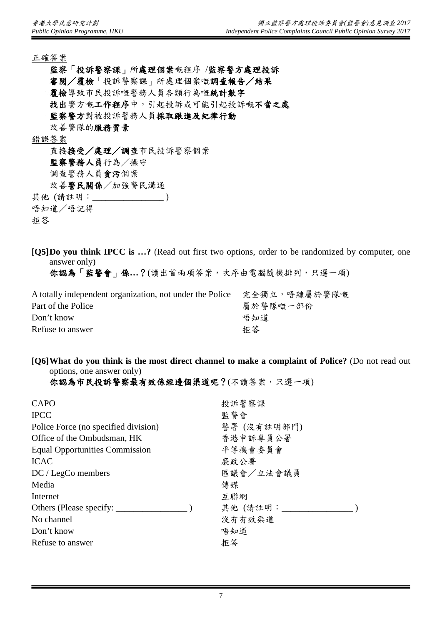正確答案

監察「投訴警察課」所處理個案嘅程序 /監察警方處理投訴 審閱/覆檢「投訴警察課」所處理個案嘅調查報告/結果 覆檢導致市民投訴嘅警務人員各類行為嘅統計數字 找出警方嘅工作程序中,引起投訴或可能引起投訴嘅不當之處 監察警方對被投訴警務人員採取跟進及紀律行動 改善警隊的服務質素 錯誤答案 直接接受/處理/調查市民投訴警察個案 監察警務人員行為/操守 調查警務人員貪污個案 改善警民關係/加強警民溝通

其他 (請註明: \_\_\_\_\_\_\_\_\_\_\_\_\_\_\_\_\_)

唔知道/唔記得

拒答

**[Q5]Do you think IPCC is …?** (Read out first two options, order to be randomized by computer, one answer only)

你認為「監警會」係**…**?(讀出首兩項答案,次序由電腦隨機排列,只選一項)

| A totally independent organization, not under the Police | 完全獨立,唔隸屬於警隊嘅 |
|----------------------------------------------------------|--------------|
| Part of the Police                                       | 屬於警隊嘅一部份     |
| Don't know                                               | 唔知道          |
| Refuse to answer                                         | 拒答           |

**[Q6]What do you think is the most direct channel to make a complaint of Police?** (Do not read out options, one answer only)

你認為市民投訴警察最有效係經邊個渠道呢?(不讀答案,只選一項)

| <b>CAPO</b>                           | 投訴警察課       |
|---------------------------------------|-------------|
| <b>IPCC</b>                           | 監警會         |
| Police Force (no specified division)  | 警署 (沒有註明部門) |
| Office of the Ombudsman, HK           | 香港申訴專員公署    |
| <b>Equal Opportunities Commission</b> | 平等機會委員會     |
| <b>ICAC</b>                           | 廉政公署        |
| $DC / LegCo$ members                  | 區議會/立法會議員   |
| Media                                 | 傳媒          |
| Internet                              | 互聯網         |
|                                       | 其他(請註明:     |
| No channel                            | 沒有有效渠道      |
| Don't know                            | 唔知道         |
| Refuse to answer                      | 拒答          |
|                                       |             |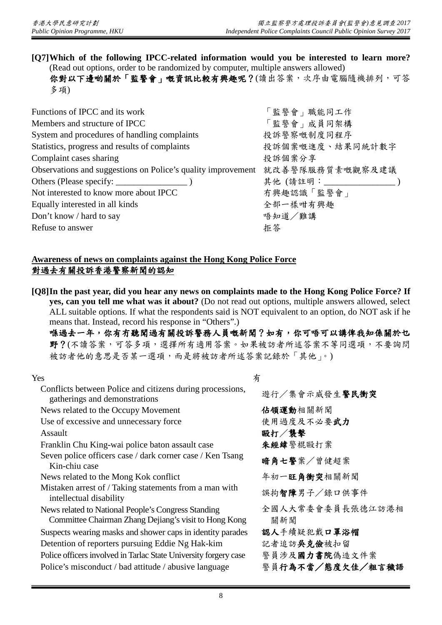**[Q7]Which of the following IPCC-related information would you be interested to learn more?**  (Read out options, order to be randomized by computer, multiple answers allowed) 你對以下邊啲關於「監警會」嘅資訊比較有興趣呢?(讀出答案,次序由電腦隨機排列,可答 多項)

| Functions of IPCC and its work                               | 「監警會   職能同工作               |
|--------------------------------------------------------------|----------------------------|
| Members and structure of IPCC                                | 「監警會」成員同架構                 |
| System and procedures of handling complaints                 | 投訴警察嘅制度同程序                 |
| Statistics, progress and results of complaints               | 投訴個案嘅進度、結果同統計數字            |
| Complaint cases sharing                                      | 投訴個案分享                     |
| Observations and suggestions on Police's quality improvement | 就改善警隊服務質素嘅觀察及建議            |
|                                                              | 其他(請註明: _________________) |
| Not interested to know more about IPCC                       | 有興趣認識「監警會」                 |
| Equally interested in all kinds                              | 全部一樣咁有興趣                   |
| Don't know / hard to say                                     | 唔知道/難講                     |
| Refuse to answer                                             | 拒答                         |

## **Awareness of news on complaints against the Hong Kong Police Force** 對過去有關投訴香港警察新聞的認知

**[Q8]In the past year, did you hear any news on complaints made to the Hong Kong Police Force? If yes, can you tell me what was it about?** (Do not read out options, multiple answers allowed, select ALL suitable options. If what the respondents said is NOT equivalent to an option, do NOT ask if he means that. Instead, record his response in "Others".)

喺過去一年,你有有聽聞過有關投訴警務人員嘅新聞?如有,你可唔可以講俾我知係關於乜 野?(不讀答案,可答多項,選擇所有適用答案。如果被訪者所述答案不等同選項,不要詢問 被訪者他的意思是否某一選項,而是將被訪者所述答案記錄於「其他」。)

| Yes                                                                                                          | 有                       |
|--------------------------------------------------------------------------------------------------------------|-------------------------|
| Conflicts between Police and citizens during processions,<br>gatherings and demonstrations                   | 遊行/集會示威發生警民衝突           |
| News related to the Occupy Movement                                                                          | 佔領運動相關新聞                |
| Use of excessive and unnecessary force                                                                       | 使用過度及不必要武力              |
| Assault                                                                                                      | 毆打/襲擊                   |
| Franklin Chu King-wai police baton assault case                                                              | 朱經緯警棍毆打案                |
| Seven police officers case / dark corner case / Ken Tsang<br>Kin-chiu case                                   | 暗角七警案/曾健超案              |
| News related to the Mong Kok conflict                                                                        | 年初一旺角衝突相關新聞             |
| Mistaken arrest of / Taking statements from a man with<br>intellectual disability                            | 誤拘智障男子/錄口供事件            |
| News related to National People's Congress Standing<br>Committee Chairman Zhang Dejiang's visit to Hong Kong | 全國人大常委會委員長張德江訪港相<br>關新聞 |
| Suspects wearing masks and shower caps in identity parades                                                   | 認人手續疑犯戴口罩浴帽             |
| Detention of reporters pursuing Eddie Ng Hak-kim                                                             | 記者追訪吳克儉被扣留              |
| Police officers involved in Tarlac State University forgery case                                             | 警員涉及國力書院偽造文件案           |
| Police's misconduct / bad attitude / abusive language                                                        | 警員行為不當/態度欠佳/粗言穢語        |
|                                                                                                              |                         |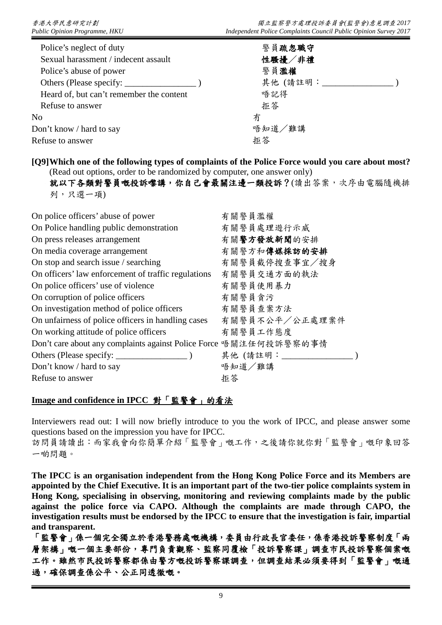| Police's neglect of duty                 | 警員疏忽職守  |
|------------------------------------------|---------|
| Sexual harassment / indecent assault     | 性騷擾/非禮  |
| Police's abuse of power                  | 警員濫權    |
| Others (Please specify:                  | 其他(請註明: |
| Heard of, but can't remember the content | 唔記得     |
| Refuse to answer                         | 拒答      |
| No                                       | 冇       |
| Don't know / hard to say                 | 唔知道/難講  |
| Refuse to answer                         | 拒答      |
|                                          |         |

**[Q9]Which one of the following types of complaints of the Police Force would you care about most?**  (Read out options, order to be randomized by computer, one answer only)

就以下各類對警員嘅投訴嚟講,你自己會最關注邊一類投訴?(讀出答案,次序由電腦隨機排 列,只選一項)

| On police officers' abuse of power                                | 有關警員濫權         |
|-------------------------------------------------------------------|----------------|
| On Police handling public demonstration                           | 有關警員處理遊行示威     |
| On press releases arrangement                                     | 有關警方發放新聞的安排    |
| On media coverage arrangement                                     | 有關警方和傳媒採訪的安排   |
| On stop and search issue / searching                              | 有關警員截停搜查事宜/搜身  |
| On officers' law enforcement of traffic regulations               | 有關警員交通方面的執法    |
| On police officers' use of violence                               | 有關警員使用暴力       |
| On corruption of police officers                                  | 有關警員貪污         |
| On investigation method of police officers                        | 有關警員查案方法       |
| On unfairness of police officers in handling cases                | 有關警員不公平/公正處理案件 |
| On working attitude of police officers                            | 有關警員工作態度       |
| Don't care about any complaints against Police Force 唔關注任何投訴警察的事情 |                |
|                                                                   | 其他 (請註明:       |
| Don't know / hard to say                                          | 唔知道/難講         |
| Refuse to answer                                                  | 拒答             |

## **Image and confidence in IPCC** 對「監警會」的看法

Interviewers read out: I will now briefly introduce to you the work of IPCC, and please answer some questions based on the impression you have for IPCC.

訪問員請讀出:而家我會向你簡單介紹「監警會」嘅工作,之後請你就你對「監警會」嘅印象回答 一啲問題。

**The IPCC is an organisation independent from the Hong Kong Police Force and its Members are appointed by the Chief Executive. It is an important part of the two-tier police complaints system in Hong Kong, specialising in observing, monitoring and reviewing complaints made by the public against the police force via CAPO. Although the complaints are made through CAPO, the investigation results must be endorsed by the IPCC to ensure that the investigation is fair, impartial and transparent.**

「監警會」係一個完全獨立於香港警務處嘅機構,委員由行政長官委任,係香港投訴警察制度「兩 層架構」嘅一個主要部份,專門負責觀察、監察同覆檢「投訴警察課」調查市民投訴警察個案嘅 工作。雖然市民投訴警察部投訴警察課調查,但調查結果必須要得到「監警會」嘅通 過,確保調查係公平、公正同透徹嘅。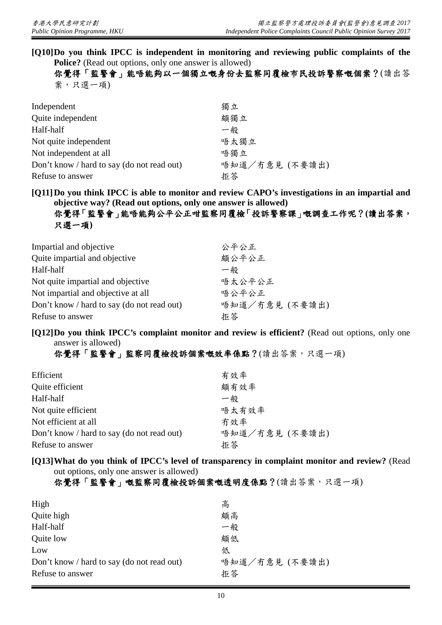**[Q10]Do you think IPCC is independent in monitoring and reviewing public complaints of the Police?** (Read out options, only one answer is allowed) 你覺得「監警會」能唔能夠以一個獨立嘅身份去監察同覆檢市民投訴警察嘅個案?(讀出答

案,只選一項)

| Independent                                | 獨立             |
|--------------------------------------------|----------------|
| Quite independent                          | 頗獨立            |
| Half-half                                  | 一般             |
| Not quite independent                      | 唔太獨立           |
| Not independent at all                     | 唔獨立            |
| Don't know / hard to say (do not read out) | 唔知道/冇意見 (不要讀出) |
| Refuse to answer                           | 拒答             |

**[Q11]Do you think IPCC is able to monitor and review CAPO's investigations in an impartial and objective way? (Read out options, only one answer is allowed)**

你覺得「監警會」能唔能夠公平公正咁監察同覆檢「投訴警察課」嘅調查工作呢?**(**讀出答案, 只選一項**)**

| Impartial and objective                    | 公平公正           |
|--------------------------------------------|----------------|
| Quite impartial and objective              | 頗公平公正          |
| Half-half                                  | 一般             |
| Not quite impartial and objective          | 唔太公平公正         |
| Not impartial and objective at all         | 唔公平公正          |
| Don't know / hard to say (do not read out) | 唔知道/冇意見 (不要讀出) |
| Refuse to answer                           | 拒答             |

**[Q12]Do you think IPCC's complaint monitor and review is efficient?** (Read out options, only one answer is allowed)

你覺得「監警會」監察同覆檢投訴個案嘅效率係點?(讀出答案,只選一項)

| Efficient                                  | 有效率            |
|--------------------------------------------|----------------|
| Quite efficient                            | 頗有效率           |
| Half-half                                  | 一般             |
| Not quite efficient                        | 唔太有效率          |
| Not efficient at all                       | 冇效率            |
| Don't know / hard to say (do not read out) | 唔知道/冇意見 (不要讀出) |
| Refuse to answer                           | 拒答             |

#### **[Q13]What do you think of IPCC's level of transparency in complaint monitor and review?** (Read out options, only one answer is allowed)

你覺得「監警會」嘅監察同覆檢投訴個案嘅透明度係點?(讀出答案,只選一項)

| High                                       | 高              |
|--------------------------------------------|----------------|
| Quite high                                 | 頗高             |
| Half-half                                  | 一般             |
| Quite low                                  | 頗低             |
| Low                                        | 低              |
| Don't know / hard to say (do not read out) | 唔知道/冇意見 (不要讀出) |
| Refuse to answer                           | 拒答             |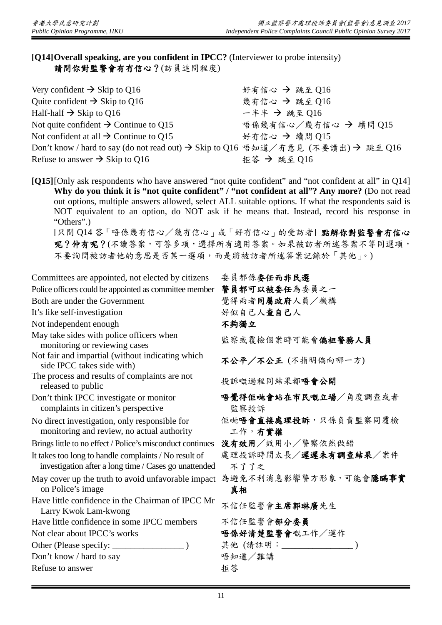# **[Q14]Overall speaking, are you confident in IPCC?** (Interviewer to probe intensity) 請問你對監警會有冇信心?(訪員追問程度)

| Very confident $\rightarrow$ Skip to Q16                                         | 好有信心 → 跳至 Q16        |
|----------------------------------------------------------------------------------|----------------------|
| Quite confident $\rightarrow$ Skip to Q16                                        | 幾有信心 → 跳至 016        |
| Half-half $\rightarrow$ Skip to Q16                                              | $-$ 半半 → 跳至 016      |
| Not quite confident $\rightarrow$ Continue to Q15                                | 唔係幾有信心/幾冇信心 → 續問 015 |
| Not confident at all $\rightarrow$ Continue to Q15                               | 好冇信心 → 續問 Q15        |
| Don't know / hard to say (do not read out) → Skip to Q16 唔知道/冇意見 (不要讀出) → 跳至 Q16 |                      |
| Refuse to answer $\rightarrow$ Skip to Q16                                       | 拒答 → 跳至 Q16          |

**[Q15]**[Only ask respondents who have answered "not quite confident" and "not confident at all" in Q14] **Why do you think it is "not quite confident" / "not confident at all"? Any more?** (Do not read out options, multiple answers allowed, select ALL suitable options. If what the respondents said is NOT equivalent to an option, do NOT ask if he means that. Instead, record his response in "Others".)

[只問 Q14 答「唔係幾有信心/幾冇信心」或「好冇信心」的受訪者] 點解你對監警會冇信心 呢?仲有呢?(不讀答案,可答多項,選擇所有適用答案。如果被訪者所述答案不等同選項, 不要詢問被訪者他的意思是否某一選項,而是將被訪者所述答案記錄於「其他」。)

| Committees are appointed, not elected by citizens                                                              | 委員都係委任而非民選                              |
|----------------------------------------------------------------------------------------------------------------|-----------------------------------------|
| Police officers could be appointed as committee member                                                         | 警員都可以被委任為委員之一                           |
| Both are under the Government                                                                                  | 覺得兩者同屬政府人員/機構                           |
| It's like self-investigation                                                                                   | 好似自己人查自己人                               |
| Not independent enough                                                                                         | 不夠獨立                                    |
| May take sides with police officers when<br>monitoring or reviewing cases                                      | 監察或覆檢個案時可能會偏袒警務人員                       |
| Not fair and impartial (without indicating which<br>side IPCC takes side with)                                 | 不公平/不公正 (不指明偏向哪一方)                      |
| The process and results of complaints are not<br>released to public                                            | 投訴嘅過程同結果都唔會公開                           |
| Don't think IPCC investigate or monitor<br>complaints in citizen's perspective                                 | 唔覺得佢哋會站在市民嘅立場/角度調查或者<br>監察投訴            |
| No direct investigation, only responsible for<br>monitoring and review, no actual authority                    | 佢哋 <b>唔會直接處理投訴</b> ,只係負責監察同覆檢<br>工作,有實權 |
| Brings little to no effect / Police's misconduct continues                                                     | 沒有效用/效用小/警察依然做錯                         |
| It takes too long to handle complaints / No result of<br>investigation after a long time / Cases go unattended | 處理投訴時間太長/遲遲未有調查結果/案件<br>不了了之            |
| May cover up the truth to avoid unfavorable impact<br>on Police's image                                        | 為避免不利消息影響警方形象,可能會隱瞞事實<br>真相             |
| Have little confidence in the Chairman of IPCC Mr<br>Larry Kwok Lam-kwong                                      | 不信任監警會主席郭琳廣先生                           |
| Have little confidence in some IPCC members                                                                    | 不信任監警會部分委員                              |
| Not clear about IPCC's works                                                                                   | 唔係好清楚監警會嘅工作/運作                          |
|                                                                                                                | 其他 (請註明: ________________)              |
| Don't know / hard to say                                                                                       | 唔知道/難講                                  |
| Refuse to answer                                                                                               | 拒答                                      |
|                                                                                                                |                                         |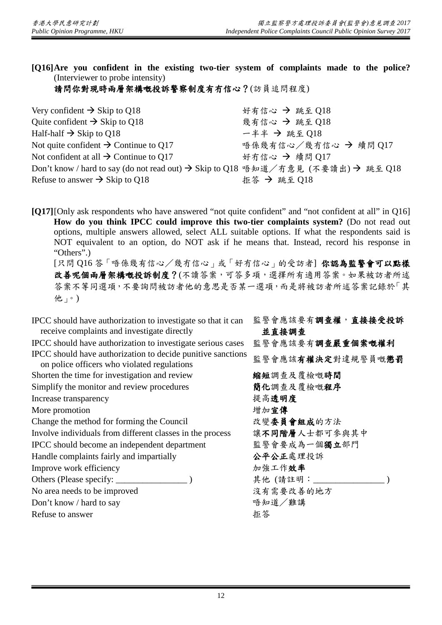**[Q16]Are you confident in the existing two-tier system of complaints made to the police?** (Interviewer to probe intensity)

請問你對現時兩層架構嘅投訴警察制度有冇信心?(訪員追問程度)

| 好有信心 → 跳至 Q18                                                                    |
|----------------------------------------------------------------------------------|
| 幾有信心 → 跳至 Q18                                                                    |
| $-$ 半半 → 跳至 018                                                                  |
| 唔係幾有信心/幾有信心 → 續問 Q17                                                             |
| 好冇信心 → 續問 017                                                                    |
| Don't know / hard to say (do not read out) → Skip to Q18 唔知道/冇意見 (不要讀出) → 跳至 Q18 |
| 拒答 → 跳至 Q18                                                                      |
|                                                                                  |

**[Q17]**[Only ask respondents who have answered "not quite confident" and "not confident at all" in Q16] **How do you think IPCC could improve this two-tier complaints system?** (Do not read out options, multiple answers allowed, select ALL suitable options. If what the respondents said is NOT equivalent to an option, do NOT ask if he means that. Instead, record his response in "Others".) [只問 Q16 答「唔係幾有信心/幾冇信心」或「好冇信心」的受訪者] 你認為監警會可以點樣 改善呢個兩層架構嘅投訴制度?(不讀答案,可答多項,選擇所有適用答案。如果被訪者所述

答案不等同選項,不要詢問被訪者他的意思是否某一選項,而是將被訪者所述答案記錄於「其 他」。)

| IPCC should have authorization to investigate so that it can<br>receive complaints and investigate directly | 監警會應該要有調查權,直接接受投訴<br>並直接調查 |
|-------------------------------------------------------------------------------------------------------------|----------------------------|
| IPCC should have authorization to investigate serious cases                                                 | 監警會應該要有調查嚴重個案嘅權利           |
| IPCC should have authorization to decide punitive sanctions<br>on police officers who violated regulations  | 監警會應該有權決定對違規警員嘅懲罰          |
| Shorten the time for investigation and review                                                               | 縮短調查及覆檢嘅時間                 |
| Simplify the monitor and review procedures                                                                  | 簡化調查及覆檢嘅程序                 |
| Increase transparency                                                                                       | 提高透明度                      |
| More promotion                                                                                              | 增加宣傳                       |
| Change the method for forming the Council                                                                   | 改變委員會組成的方法                 |
| Involve individuals from different classes in the process                                                   | 讓不同階層人士都可參與其中              |
| IPCC should become an independent department                                                                | 監警會要成為一個獨立部門               |
| Handle complaints fairly and impartially                                                                    | 公平公正處理投訴                   |
| Improve work efficiency                                                                                     | 加強工作效率                     |
|                                                                                                             | 其他(請註明:                    |
| No area needs to be improved                                                                                | 沒有需要改善的地方                  |
| Don't know / hard to say                                                                                    | 唔知道/難講                     |
| Refuse to answer                                                                                            | 拒答                         |
|                                                                                                             |                            |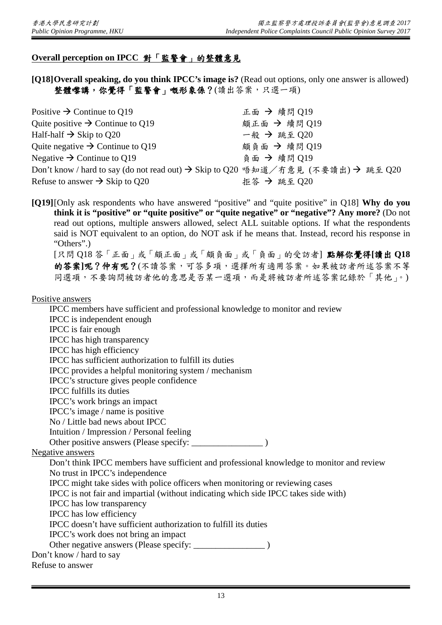# **Overall perception on IPCC** 對「監警會」的整體意見

**[Q18]Overall speaking, do you think IPCC's image is?** (Read out options, only one answer is allowed) 整體嚟講,你覺得「監警會」嘅形象係?(讀出答案,只選一項)

| Positive $\rightarrow$ Continue to Q19                                           | 正面 → 續問 Q19  |
|----------------------------------------------------------------------------------|--------------|
| Quite positive $\rightarrow$ Continue to Q19                                     | 頗正面 → 續問 Q19 |
| Half-half $\rightarrow$ Skip to Q20                                              | 一般 → 跳至 Q20  |
| Quite negative $\rightarrow$ Continue to Q19                                     | 頗負面 → 續問 Q19 |
| Negative $\rightarrow$ Continue to Q19                                           | 負面 → 續問 O19  |
| Don't know / hard to say (do not read out) → Skip to Q20 唔知道/冇意見 (不要讀出) → 跳至 Q20 |              |
| Refuse to answer $\rightarrow$ Skip to Q20                                       | 拒答 → 跳至 Q20  |

**[Q19]**[Only ask respondents who have answered "positive" and "quite positive" in Q18] **Why do you think it is "positive" or "quite positive" or "quite negative" or "negative"? Any more?** (Do not read out options, multiple answers allowed, select ALL suitable options. If what the respondents said is NOT equivalent to an option, do NOT ask if he means that. Instead, record his response in "Others".)

[只問 Q18 答「正面」或「頗正面」或「頗負面」或「負面」的受訪者] 點解你覺得**[**讀出 **Q18** 的答案**]**呢?仲有呢?(不讀答案,可答多項,選擇所有適用答案。如果被訪者所述答案不等 同選項,不要詢問被訪者他的意思是否某一選項,而是將被訪者所述答案記錄於「其他」。)

#### Positive answers

IPCC members have sufficient and professional knowledge to monitor and review IPCC is independent enough IPCC is fair enough IPCC has high transparency IPCC has high efficiency IPCC has sufficient authorization to fulfill its duties IPCC provides a helpful monitoring system / mechanism IPCC's structure gives people confidence IPCC fulfills its duties IPCC's work brings an impact IPCC's image / name is positive No / Little bad news about IPCC Intuition / Impression / Personal feeling Other positive answers (Please specify: \_\_\_\_\_\_\_\_\_\_\_\_\_\_\_\_ ) Negative answers Don't think IPCC members have sufficient and professional knowledge to monitor and review No trust in IPCC's independence IPCC might take sides with police officers when monitoring or reviewing cases IPCC is not fair and impartial (without indicating which side IPCC takes side with) IPCC has low transparency IPCC has low efficiency IPCC doesn't have sufficient authorization to fulfill its duties IPCC's work does not bring an impact Other negative answers (Please specify: \_\_\_\_\_\_\_\_\_\_\_\_\_\_\_\_ ) Don't know / hard to say Refuse to answer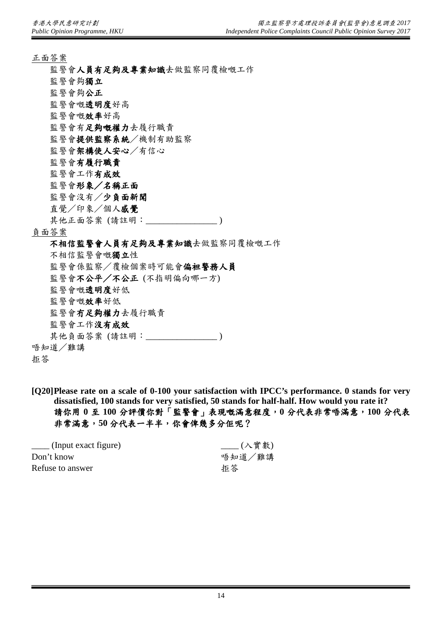- 正面答案
	- 監警會人員有足夠及專業知識去做監察同覆檢嘅工作
	- 監警會夠獨立
	- 監警會夠公正
	- 監警會嘅透明度好高
	- 監警會嘅效率好高
	- 監警會有足夠嘅權力去履行職責
	- 監警會提供監察系統/機制有助監察
	- 監警會架構使人安心/有信心
	- 監警會有履行職責
	- 監警會工作有成效
	- 監警會形象/名稱正面
	- 監警會沒有/少負面新聞
	- 直覺/印象/個人感覺
	- 其他正面答案 (請註明:\_\_\_\_\_\_\_\_\_\_\_\_\_\_\_\_ )

#### 負面答案

#### 不相信監警會人員有足夠及專業知識去做監察同覆檢嘅工作

不相信監警會嘅獨立性 監警會係監察/覆檢個案時可能會偏袒警務人員 監警會不公平/不公正 (不指明偏向哪一方) 監警會嘅透明度好低 監警會嘅效率好低 監警會冇足夠權力去履行職責 監警會工作沒有成效 其他負面答案 (請註明:\_\_\_\_\_\_\_\_\_\_\_\_\_\_\_\_ ) 唔知道/難講

拒答

**[Q20]Please rate on a scale of 0-100 your satisfaction with IPCC's performance. 0 stands for very dissatisfied, 100 stands for very satisfied, 50 stands for half-half. How would you rate it?** 請你用 **0** 至 **100** 分評價你對「監警會」表現嘅滿意程度,**0** 分代表非常唔滿意,**100** 分代表 非常滿意,**50** 分代表一半半,你會俾幾多分佢呢?

| $\frac{1}{\sqrt{1-\frac{1}{\sqrt{1-\frac{1}{\sqrt{1-\frac{1}{\sqrt{1-\frac{1}{\sqrt{1-\frac{1}{\sqrt{1-\frac{1}{\sqrt{1-\frac{1}{\sqrt{1-\frac{1}{\sqrt{1-\frac{1}{\sqrt{1-\frac{1}{\sqrt{1-\frac{1}{\sqrt{1-\frac{1}{\sqrt{1-\frac{1}{\sqrt{1-\frac{1}{\sqrt{1-\frac{1}{\sqrt{1-\frac{1}{\sqrt{1-\frac{1}{\sqrt{1-\frac{1}{\sqrt{1-\frac{1}{\sqrt{1-\frac{1}{\sqrt{1-\frac{1}{\sqrt{1-\frac{1}{\sqrt{1-\frac{1}{\sqrt{1-\frac{1$ | ___(入實數) |
|-----------------------------------------------------------------------------------------------------------------------------------------------------------------------------------------------------------------------------------------------------------------------------------------------------------------------------------------------------------------------------------------------------------------------------------|----------|
| Don't know                                                                                                                                                                                                                                                                                                                                                                                                                        | 唔知道/難講   |
| Refuse to answer                                                                                                                                                                                                                                                                                                                                                                                                                  | 拒答       |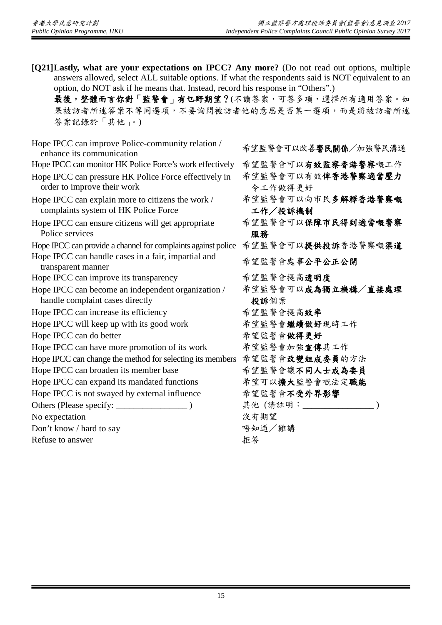**[Q21]Lastly, what are your expectations on IPCC? Any more?** (Do not read out options, multiple answers allowed, select ALL suitable options. If what the respondents said is NOT equivalent to an option, do NOT ask if he means that. Instead, record his response in "Others".) 最後,整體而言你對「監警會」有乜野期望?(不讀答案,可答多項,選擇所有適用答案。如 果被訪者所述答案不等同選項,不要詢問被訪者他的意思是否某一選項,而是將被訪者所述 答案記錄於「其他」。)

Hope IPCC can improve Police-community relation / cpc in CC can improve ronce-community relation  $\hat{\pi}$ 望監警會可以改善**警民關係**/加強警民溝通 Hope IPCC can monitor HK Police Force's work effectively 希望監警會可以有效監察香港警察嘅工作 Hope IPCC can pressure HK Police Force effectively in order to improve their work Hope IPCC can explain more to citizens the work / complaints system of HK Police Force Hope IPCC can ensure citizens will get appropriate Police services 服務 Hope IPCC can provide a channel for complaints against police 希望監警會可以提供投訴香港警察嘅渠道 Hope IPCC can handle cases in a fair, impartial and ppe in CC can nanuic cases in a ran, impartial and<br>transparent manner Hope IPCC can improve its transparency <br>
希望監警會提高**透明度** Hope IPCC can become an independent organization / handle complaint cases directly 投訴個案 Hope IPCC can increase its efficiency <br>
希望監警會提高效率 Hope IPCC will keep up with its good work 希望監警會繼續做好現時工作 Hope IPCC can do better <br> **A** 字監警會做得更好 Hope IPCC can have more promotion of its work 希望監警會加強宣傳其工作 Hope IPCC can change the method for selecting its members 希望監警會改變組成委員的方法 Hope IPCC can broaden its member base <br>
希望監警會讓不同人士成為委員 Hope IPCC can expand its mandated functions 希望可以擴大監警會嘅法定職能 Hope IPCC is not swayed by external influence 希望監警會不受外界影響 Others (Please specify: \_\_\_\_\_\_\_\_\_\_\_\_\_\_\_\_ ) 其他 (請註明:\_\_\_\_\_\_\_\_\_\_\_\_\_\_\_\_ ) No expectation 沒有期望 Don't know / hard to say example and the say example and the matrix of the matrix  $\frac{4}{3}$  等知道/難講 Refuse to answer **the answer property h** and **h** and **h** and **h** and **h** and **h** and **h** and **h** and **h** and **h** and **h** and **h** and **h** and **h** and **h** and **h** and **h** and **h** and **h** and **h** and **h** and **h** and **h**

希望監警會可以有效俾香港警察適當壓力

令工作做得更好 希望監警會可以向市民多解釋香港警察嘅

工作/投訴機制

希望監警會可以保障市民得到適當嘅警察

- 
- 
- 
- 希望監警會可以成為獨立機構/直接處理
- 
- 
- 
- 
- -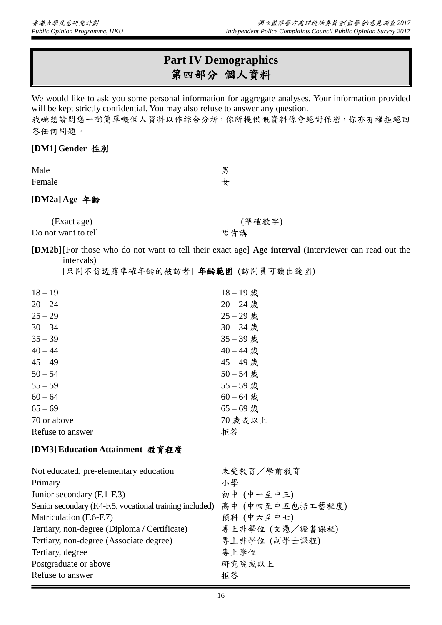# **Part IV Demographics** 第四部分 個人資料

We would like to ask you some personal information for aggregate analyses. Your information provided will be kept strictly confidential. You may also refuse to answer any question.

我哋想請問您一啲簡單嘅個人資料以作綜合分析,你所提供嘅資料係會絕對保密,你亦有權拒絕回 答任何問題。

### **[DM1] Gender** 性別

| Male   | 男 |
|--------|---|
| Female | 女 |

## **[DM2a] Age** 年齡

\_\_\_\_ (Exact age) \_\_\_\_ (準確數字) Do not want to tell <br> **Do not want to tell** 

**[DM2b]**[For those who do not want to tell their exact age] **Age interval** (Interviewer can read out the intervals)

[只問不肯透露準確年齡的被訪者] 年齡範圍 (訪問員可讀出範圍)

| $18 - 19$        | $18 - 19$ 歲 |
|------------------|-------------|
| $20 - 24$        | $20 - 24$ 歲 |
| $25 - 29$        | $25 - 29$ 歲 |
| $30 - 34$        | $30 - 34$ 歲 |
| $35 - 39$        | 35-39 歲     |
| $40 - 44$        | $40 - 44$ 歲 |
| $45 - 49$        | $45 - 49$ 歲 |
| $50 - 54$        | $50 - 54$ 歲 |
| $55 - 59$        | 55-59 歲     |
| $60 - 64$        | $60 - 64$ 歲 |
| $65 - 69$        | $65 - 69$ 歲 |
| 70 or above      | 70 歲或以上     |
| Refuse to answer | 拒答          |
|                  |             |

## **[DM3] Education Attainment** 教育程度

| Not educated, pre-elementary education                                    | 未受教育/學前教育       |
|---------------------------------------------------------------------------|-----------------|
| Primary                                                                   | 小學              |
| Junior secondary (F.1-F.3)                                                | 初中 (中一至中三)      |
| Senior secondary (F.4-F.5, vocational training included) 高中 (中四至中五包括工藝程度) |                 |
| Matriculation (F.6-F.7)                                                   | 預科 (中六至中七)      |
| Tertiary, non-degree (Diploma / Certificate)                              | 專上非學位 (文憑/證書課程) |
| Tertiary, non-degree (Associate degree)                                   | 專上非學位 (副學士課程)   |
| Tertiary, degree                                                          | 專上學位            |
| Postgraduate or above                                                     | 研究院或以上          |
| Refuse to answer                                                          | 拒答              |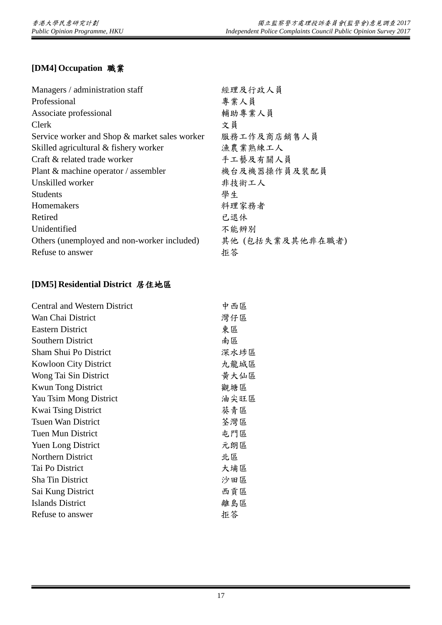# **[DM4] Occupation** 職業

| Managers / administration staff               | 經理及行政人員          |
|-----------------------------------------------|------------------|
| Professional                                  | 專業人員             |
| Associate professional                        | 輔助專業人員           |
| Clerk                                         | 文員               |
| Service worker and Shop & market sales worker | 服務工作及商店銷售人員      |
| Skilled agricultural & fishery worker         | 漁農業熟練工人          |
| Craft & related trade worker                  | 手工藝及有關人員         |
| Plant $\&$ machine operator / assembler       | 機台及機器操作員及裝配員     |
| Unskilled worker                              | 非技術工人            |
| <b>Students</b>                               | 學生               |
| Homemakers                                    | 料理家務者            |
| Retired                                       | 已退休              |
| Unidentified                                  | 不能辨别             |
| Others (unemployed and non-worker included)   | 其他 (包括失業及其他非在職者) |
| Refuse to answer                              | 拒答               |

# **[DM5] Residential District** 居住地區

| <b>Central and Western District</b> | 中西區  |
|-------------------------------------|------|
| Wan Chai District                   | 灣仔區  |
| <b>Eastern District</b>             | 東區   |
| <b>Southern District</b>            | 南區   |
| <b>Sham Shui Po District</b>        | 深水埗區 |
| <b>Kowloon City District</b>        | 九龍城區 |
| Wong Tai Sin District               | 黄大仙區 |
| <b>Kwun Tong District</b>           | 觀塘區  |
| Yau Tsim Mong District              | 油尖旺區 |
| <b>Kwai Tsing District</b>          | 葵青區  |
| <b>Tsuen Wan District</b>           | 荃灣區  |
| Tuen Mun District                   | 屯門區  |
| <b>Yuen Long District</b>           | 元朗區  |
| Northern District                   | 北區   |
| Tai Po District                     | 大埔區  |
| <b>Sha Tin District</b>             | 沙田區  |
| Sai Kung District                   | 西貢區  |
| Islands District                    | 離島區  |
| Refuse to answer                    | 拒答   |